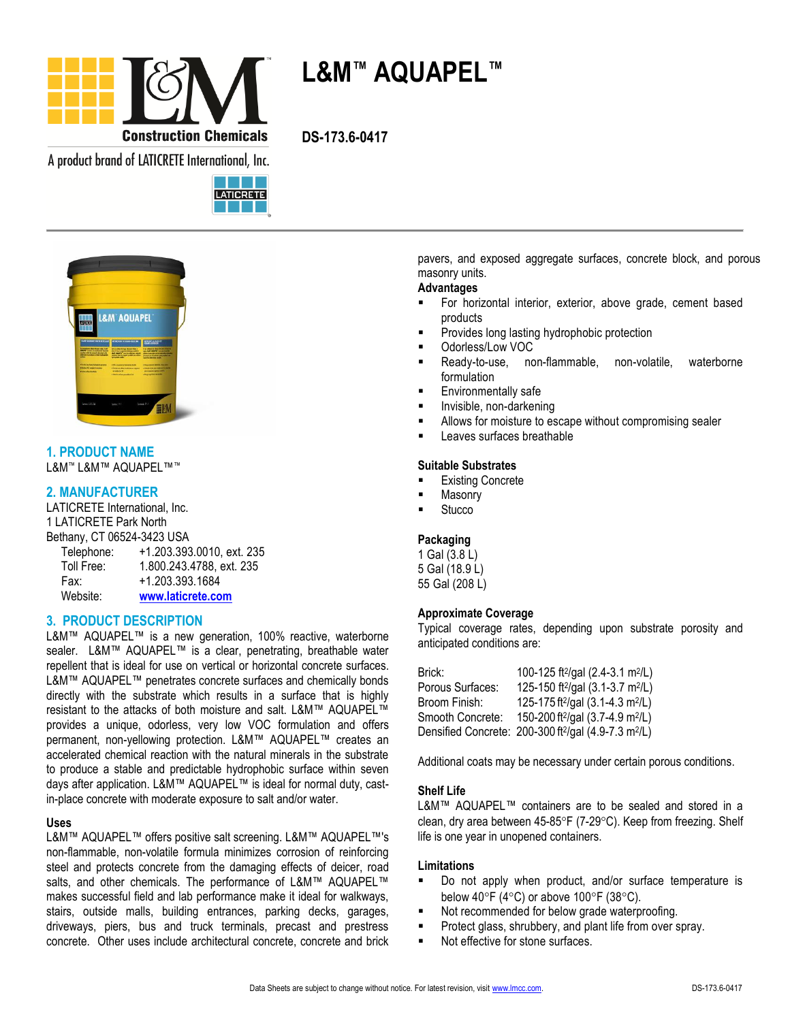

**L&M™ AQUAPEL™**

A product brand of LATICRETE International, Inc.





# **1. PRODUCT NAME**

L&M™ L&M™ AQUAPEL™™

## **2. MANUFACTURER**

LATICRETE International, Inc. 1 LATICRETE Park North Bethany, CT 06524-3423 USA

| Telephone: | +1.203.393.0010, ext. 235 |
|------------|---------------------------|
| Toll Free: | 1.800.243.4788, ext. 235  |
| Fax:       | +1.203.393.1684           |
| Website:   | www.laticrete.com         |

#### **3. PRODUCT DESCRIPTION**

L&M™ AQUAPEL™ is a new generation, 100% reactive, waterborne sealer. L&M™ AQUAPEL™ is a clear, penetrating, breathable water repellent that is ideal for use on vertical or horizontal concrete surfaces. L&M™ AQUAPEL™ penetrates concrete surfaces and chemically bonds directly with the substrate which results in a surface that is highly resistant to the attacks of both moisture and salt. L&M™ AQUAPEL™ provides a unique, odorless, very low VOC formulation and offers permanent, non-yellowing protection. L&M™ AQUAPEL™ creates an accelerated chemical reaction with the natural minerals in the substrate to produce a stable and predictable hydrophobic surface within seven days after application. L&M™ AQUAPEL™ is ideal for normal duty, castin-place concrete with moderate exposure to salt and/or water.

#### **Uses**

L&M™ AQUAPEL™ offers positive salt screening. L&M™ AQUAPEL™'s non-flammable, non-volatile formula minimizes corrosion of reinforcing steel and protects concrete from the damaging effects of deicer, road salts, and other chemicals. The performance of L&M™ AQUAPEL™ makes successful field and lab performance make it ideal for walkways, stairs, outside malls, building entrances, parking decks, garages, driveways, piers, bus and truck terminals, precast and prestress concrete. Other uses include architectural concrete, concrete and brick pavers, and exposed aggregate surfaces, concrete block, and porous masonry units.

#### **Advantages**

- For horizontal interior, exterior, above grade, cement based products
- Provides long lasting hydrophobic protection
- Odorless/Low VOC
- Ready-to-use, non-flammable, non-volatile, waterborne formulation
- Environmentally safe
- Invisible, non-darkening
- Allows for moisture to escape without compromising sealer
- Leaves surfaces breathable

#### **Suitable Substrates**

- Existing Concrete
- Masonry
- **Stucco**

#### **Packaging**

1 Gal (3.8 L) 5 Gal (18.9 L) 55 Gal (208 L)

#### **Approximate Coverage**

Typical coverage rates, depending upon substrate porosity and anticipated conditions are:

| Brick:           | 100-125 ft <sup>2</sup> /gal (2.4-3.1 m <sup>2</sup> /L)                     |
|------------------|------------------------------------------------------------------------------|
| Porous Surfaces: | 125-150 ft <sup>2</sup> /gal (3.1-3.7 m <sup>2</sup> /L)                     |
| Broom Finish:    | 125-175 ft <sup>2</sup> /gal (3.1-4.3 m <sup>2</sup> /L)                     |
| Smooth Concrete: | 150-200 ft <sup>2</sup> /gal (3.7-4.9 m <sup>2</sup> /L)                     |
|                  | Densified Concrete: 200-300 ft <sup>2</sup> /gal (4.9-7.3 m <sup>2</sup> /L) |

Additional coats may be necessary under certain porous conditions.

#### **Shelf Life**

L&M™ AQUAPEL™ containers are to be sealed and stored in a clean, dry area between  $45-85^{\circ}F$  (7-29 $^{\circ}C$ ). Keep from freezing. Shelf life is one year in unopened containers.

#### **Limitations**

- Do not apply when product, and/or surface temperature is below 40°F (4°C) or above 100°F (38°C).
- Not recommended for below grade waterproofing.
- Protect glass, shrubbery, and plant life from over spray.
- Not effective for stone surfaces.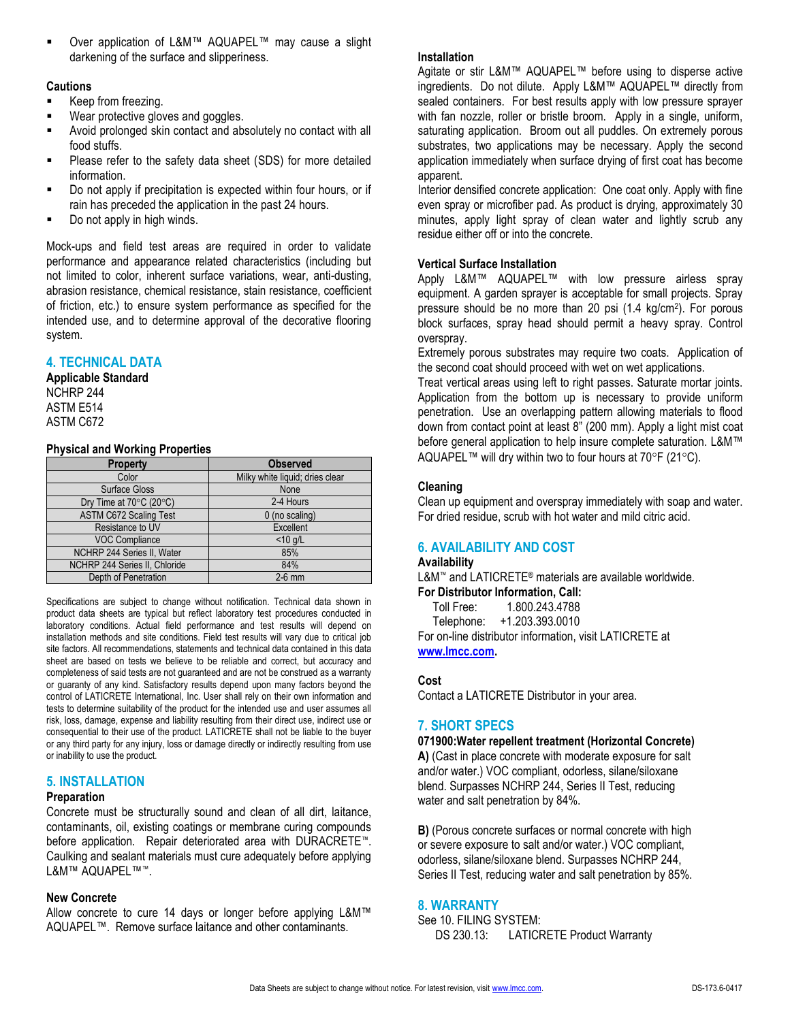#### **Cautions**

- Keep from freezing.
- Wear protective gloves and goggles.
- Avoid prolonged skin contact and absolutely no contact with all food stuffs.
- Please refer to the safety data sheet (SDS) for more detailed information.
- Do not apply if precipitation is expected within four hours, or if rain has preceded the application in the past 24 hours.
- **Do not apply in high winds.**

Mock-ups and field test areas are required in order to validate performance and appearance related characteristics (including but not limited to color, inherent surface variations, wear, anti-dusting, abrasion resistance, chemical resistance, stain resistance, coefficient of friction, etc.) to ensure system performance as specified for the intended use, and to determine approval of the decorative flooring system.

## **4. TECHNICAL DATA**

## **Applicable Standard**

NCHRP 244 ASTM E514 ASTM C672

#### **Physical and Working Properties**

| <b>Property</b>               | <b>Observed</b>                 |  |
|-------------------------------|---------------------------------|--|
| Color                         | Milky white liquid; dries clear |  |
| Surface Gloss                 | None                            |  |
| Dry Time at 70°C (20°C)       | 2-4 Hours                       |  |
| <b>ASTM C672 Scaling Test</b> | 0 (no scaling)                  |  |
| Resistance to UV              | Excellent                       |  |
| <b>VOC Compliance</b>         | $<$ 10 g/L                      |  |
| NCHRP 244 Series II, Water    | 85%                             |  |
| NCHRP 244 Series II, Chloride | 84%                             |  |
| Depth of Penetration          | $2-6$ mm                        |  |

Specifications are subject to change without notification. Technical data shown in product data sheets are typical but reflect laboratory test procedures conducted in laboratory conditions. Actual field performance and test results will depend on installation methods and site conditions. Field test results will vary due to critical job site factors. All recommendations, statements and technical data contained in this data sheet are based on tests we believe to be reliable and correct, but accuracy and completeness of said tests are not guaranteed and are not be construed as a warranty or guaranty of any kind. Satisfactory results depend upon many factors beyond the control of LATICRETE International, Inc. User shall rely on their own information and tests to determine suitability of the product for the intended use and user assumes all risk, loss, damage, expense and liability resulting from their direct use, indirect use or consequential to their use of the product. LATICRETE shall not be liable to the buyer or any third party for any injury, loss or damage directly or indirectly resulting from use or inability to use the product.

#### **5. INSTALLATION**

#### **Preparation**

Concrete must be structurally sound and clean of all dirt, laitance, contaminants, oil, existing coatings or membrane curing compounds before application. Repair deteriorated area with DURACRETE™. Caulking and sealant materials must cure adequately before applying L&M™ AQUAPEL™™.

#### **New Concrete**

Allow concrete to cure 14 days or longer before applying L&M™ AQUAPEL™. Remove surface laitance and other contaminants.

#### **Installation**

Agitate or stir L&M™ AQUAPEL™ before using to disperse active ingredients. Do not dilute. Apply L&M™ AQUAPEL™ directly from sealed containers. For best results apply with low pressure sprayer with fan nozzle, roller or bristle broom. Apply in a single, uniform, saturating application. Broom out all puddles. On extremely porous substrates, two applications may be necessary. Apply the second application immediately when surface drying of first coat has become apparent.

Interior densified concrete application: One coat only. Apply with fine even spray or microfiber pad. As product is drying, approximately 30 minutes, apply light spray of clean water and lightly scrub any residue either off or into the concrete.

## **Vertical Surface Installation**

Apply L&M™ AQUAPEL™ with low pressure airless spray equipment. A garden sprayer is acceptable for small projects. Spray pressure should be no more than 20 psi (1.4 kg/cm<sup>2</sup>). For porous block surfaces, spray head should permit a heavy spray. Control overspray.

Extremely porous substrates may require two coats. Application of the second coat should proceed with wet on wet applications.

Treat vertical areas using left to right passes. Saturate mortar joints. Application from the bottom up is necessary to provide uniform penetration. Use an overlapping pattern allowing materials to flood down from contact point at least 8" (200 mm). Apply a light mist coat before general application to help insure complete saturation. L&M™ AQUAPEL™ will dry within two to four hours at 70 $\mathrm{P}F(21\mathrm{°C})$ .

## **Cleaning**

Clean up equipment and overspray immediately with soap and water. For dried residue, scrub with hot water and mild citric acid.

## **6. AVAILABILITY AND COST**

#### **Availability**

L&M™ and LATICRETE® materials are available worldwide. **For Distributor Information, Call:** 

Toll Free: 1.800.243.4788

Telephone: +1.203.393.0010

For on-line distributor information, visit LATICRETE at **[www.lmcc.com.](http://www.lmcc.com/)** 

## **Cost**

Contact a LATICRETE Distributor in your area.

## **7. SHORT SPECS**

**071900:Water repellent treatment (Horizontal Concrete) A)** (Cast in place concrete with moderate exposure for salt and/or water.) VOC compliant, odorless, silane/siloxane blend. Surpasses NCHRP 244, Series II Test, reducing water and salt penetration by 84%.

**B)** (Porous concrete surfaces or normal concrete with high or severe exposure to salt and/or water.) VOC compliant, odorless, silane/siloxane blend. Surpasses NCHRP 244, Series II Test, reducing water and salt penetration by 85%.

#### **8. WARRANTY**

See 10. FILING SYSTEM: DS 230.13: LATICRETE Product Warranty